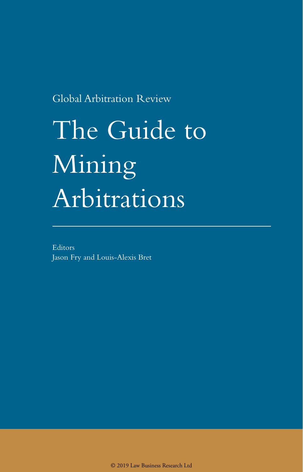Global Arbitration Review

# The Guide to Mining Arbitrations

Editors Jason Fry and Louis-Alexis Bret

© 2019 Law Business Research Ltd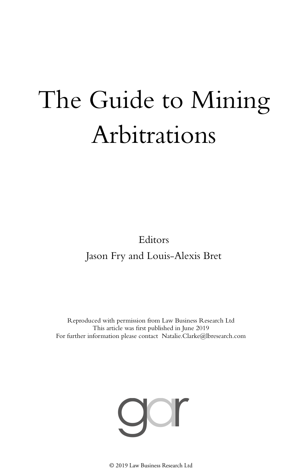# The Guide to Mining Arbitrations

Editors Jason Fry and Louis-Alexis Bret

Reproduced with permission from Law Business Research Ltd This article was first published in June 2019 For further information please contact Natalie.Clarke@lbresearch.com



© 2019 Law Business Research Ltd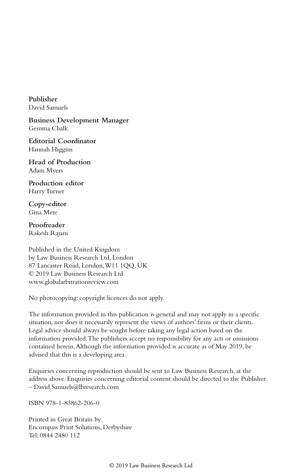**Publisher** David Samuels

**Business Development Manager** Gemma Chalk

**Editorial Coordinator** Hannah Higgins

**Head of Production** Adam Myers

**Production editor** Harry Turner

**Copy-editor** Gina Mete

**Proofreader** Rakesh Rajani

Published in the United Kingdom by Law Business Research Ltd, London 87 Lancaster Road, London, W11 1QQ, UK © 2019 Law Business Research Ltd www.globalarbitrationreview.com

No photocopying: copyright licences do not apply.

The information provided in this publication is general and may not apply in a specific situation, nor does it necessarily represent the views of authors' firms or their clients. Legal advice should always be sought before taking any legal action based on the information provided. The publishers accept no responsibility for any acts or omissions contained herein. Although the information provided is accurate as of May 2019, be advised that this is a developing area.

Enquiries concerning reproduction should be sent to Law Business Research, at the address above. Enquiries concerning editorial content should be directed to the Publisher – David.Samuels@lbresearch.com

ISBN 978-1-83862-206-0

Printed in Great Britain by Encompass Print Solutions, Derbyshire Tel: 0844 2480 112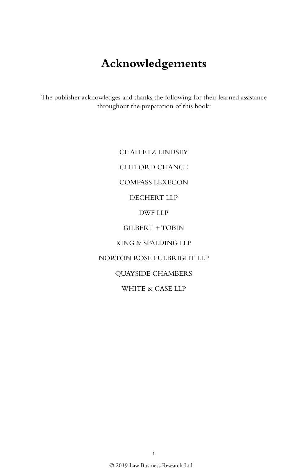## **Acknowledgements**

The publisher acknowledges and thanks the following for their learned assistance throughout the preparation of this book:

> CHAFFETZ LINDSEY CLIFFORD CHANCE COMPASS LEXECON DECHERT LLP DWF LLP GILBERT + TOBIN KING & SPALDING LLP NORTON ROSE FULBRIGHT LLP QUAYSIDE CHAMBERS WHITE & CASE LLP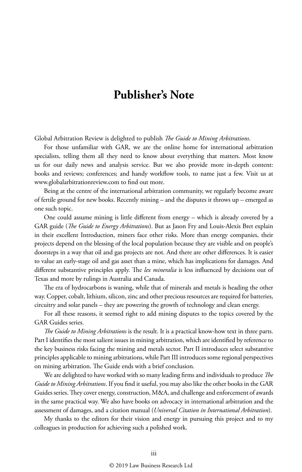## **Publisher's Note**

Global Arbitration Review is delighted to publish *The Guide to Mining Arbitrations*.

For those unfamiliar with GAR, we are the online home for international arbitration specialists, telling them all they need to know about everything that matters. Most know us for our daily news and analysis service. But we also provide more in-depth content: books and reviews; conferences; and handy workflow tools, to name just a few. Visit us at www.globalarbitrationreview.com to find out more.

Being at the centre of the international arbitration community, we regularly become aware of fertile ground for new books. Recently mining – and the disputes it throws up – emerged as one such topic.

One could assume mining is little different from energy – which is already covered by a GAR guide (*The Guide to Energy Arbitrations*). But as Jason Fry and Louis-Alexis Bret explain in their excellent Introduction, miners face other risks. More than energy companies, their projects depend on the blessing of the local population because they are visible and on people's doorsteps in a way that oil and gas projects are not. And there are other differences. It is easier to value an early-stage oil and gas asset than a mine, which has implications for damages. And different substantive principles apply. The *lex mineralia* is less influenced by decisions out of Texas and more by rulings in Australia and Canada.

The era of hydrocarbons is waning, while that of minerals and metals is heading the other way. Copper, cobalt, lithium, silicon, zinc and other precious resources are required for batteries, circuitry and solar panels – they are powering the growth of technology and clean energy.

For all these reasons, it seemed right to add mining disputes to the topics covered by the GAR Guides series.

*The Guide to Mining Arbitrations* is the result. It is a practical know-how text in three parts. Part I identifies the most salient issues in mining arbitration, which are identified by reference to the key business risks facing the mining and metals sector. Part II introduces select substantive principles applicable to mining arbitrations, while Part III introduces some regional perspectives on mining arbitration. The Guide ends with a brief conclusion.

We are delighted to have worked with so many leading firms and individuals to produce *The Guide to Mining Arbitrations*. If you find it useful, you may also like the other books in the GAR Guides series. They cover energy, construction, M&A, and challenge and enforcement of awards in the same practical way. We also have books on advocacy in international arbitration and the assessment of damages, and a citation manual (*Universal Citation in International Arbitration*).

My thanks to the editors for their vision and energy in pursuing this project and to my colleagues in production for achieving such a polished work.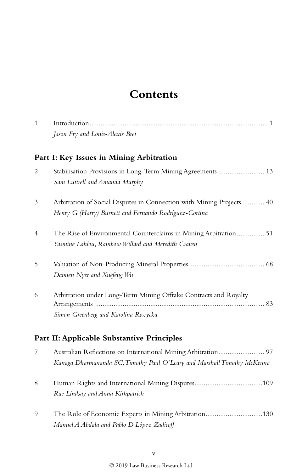## **Contents**

| 1 |                                                                                                                                           |  |  |  |
|---|-------------------------------------------------------------------------------------------------------------------------------------------|--|--|--|
|   | Jason Fry and Louis-Alexis Bret                                                                                                           |  |  |  |
|   | Part I: Key Issues in Mining Arbitration                                                                                                  |  |  |  |
| 2 | Stabilisation Provisions in Long-Term Mining Agreements  13<br>Sam Luttrell and Amanda Murphy                                             |  |  |  |
| 3 | Arbitration of Social Disputes in Connection with Mining Projects  40<br>Henry G (Harry) Burnett and Fernando Rodríguez-Cortina           |  |  |  |
| 4 | The Rise of Environmental Counterclaims in Mining Arbitration 51<br>Yasmine Lahlou, Rainbow Willard and Meredith Craven                   |  |  |  |
| 5 | Damien Nyer and Xuefeng Wu                                                                                                                |  |  |  |
| 6 | Arbitration under Long-Term Mining Offtake Contracts and Royalty<br>Simon Greenberg and Karolina Rozycka                                  |  |  |  |
|   | Part II: Applicable Substantive Principles                                                                                                |  |  |  |
| 7 | Australian Reflections on International Mining Arbitration 97<br>Kanaga Dharmananda SC, Timothy Paul O'Leary and Marshall Timothy McKenna |  |  |  |
| 8 | Rae Lindsay and Anna Kirkpatrick                                                                                                          |  |  |  |
| 9 | The Role of Economic Experts in Mining Arbitration130<br>Manuel A Abdala and Pablo D López Zadicoff                                       |  |  |  |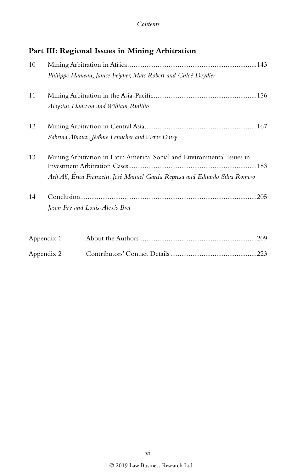### **Part III: Regional Issues in Mining Arbitration**

| 10 |                                                                                |  |  |
|----|--------------------------------------------------------------------------------|--|--|
|    | Philippe Hameau, Janice Feigher, Marc Robert and Chloé Deydier                 |  |  |
| 11 |                                                                                |  |  |
|    | Aloysius Llamzon and William Panlilio                                          |  |  |
| 12 |                                                                                |  |  |
|    | Sabrina Aïnouz, Jérôme Lehucher and Victor Datry                               |  |  |
| 13 | Mining Arbitration in Latin America: Social and Environmental Issues in        |  |  |
|    |                                                                                |  |  |
|    | Arif Ali, Érica Franzetti, José Manuel García Represa and Eduardo Silva Romero |  |  |
| 14 |                                                                                |  |  |
|    | Jason Fry and Louis-Alexis Bret                                                |  |  |
|    | Appendix 1                                                                     |  |  |

| Appendix 2 |  |  |
|------------|--|--|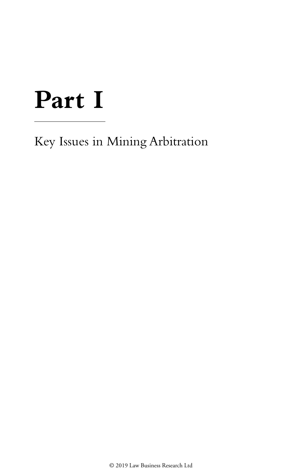## **Part I**

Key Issues in Mining Arbitration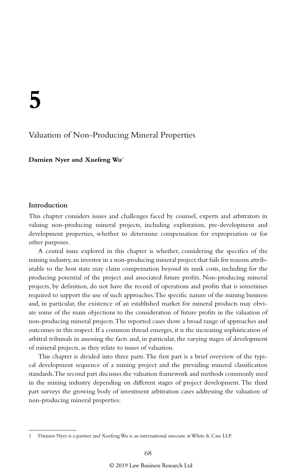### Valuation of Non-Producing Mineral Properties

**Damien Nyer and Xuefeng Wu**<sup>1</sup>

#### **Introduction**

This chapter considers issues and challenges faced by counsel, experts and arbitrators in valuing non-producing mineral projects, including exploration, pre-development and development properties, whether to determine compensation for expropriation or for other purposes.

A central issue explored in this chapter is whether, considering the specifics of the mining industry, an investor in a non-producing mineral project that fails for reasons attributable to the host state may claim compensation beyond its sunk costs, including for the producing potential of the project and associated future profits. Non-producing mineral projects, by definition, do not have the record of operations and profits that is sometimes required to support the use of such approaches. The specific nature of the mining business and, in particular, the existence of an established market for mineral products may obviate some of the main objections to the consideration of future profits in the valuation of non-producing mineral projects. The reported cases show a broad range of approaches and outcomes in this respect. If a common thread emerges, it is the increasing sophistication of arbitral tribunals in assessing the facts and, in particular, the varying stages of development of mineral projects, as they relate to issues of valuation.

This chapter is divided into three parts. The first part is a brief overview of the typical development sequence of a mining project and the prevailing mineral classification standards. The second part discusses the valuation framework and methods commonly used in the mining industry depending on different stages of project development. The third part surveys the growing body of investment arbitration cases addressing the valuation of non-producing mineral properties.

<sup>1</sup> Damien Nyer is a partner and Xuefeng Wu is an international associate at White & Case LLP.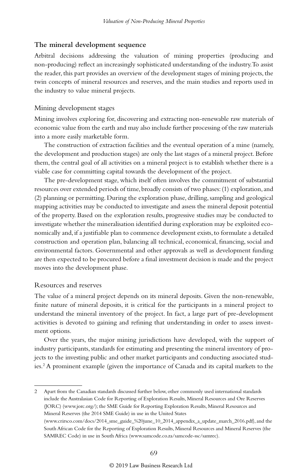#### **The mineral development sequence**

Arbitral decisions addressing the valuation of mining properties (producing and non-producing) reflect an increasingly sophisticated understanding of the industry. To assist the reader, this part provides an overview of the development stages of mining projects, the twin concepts of mineral resources and reserves, and the main studies and reports used in the industry to value mineral projects.

#### Mining development stages

Mining involves exploring for, discovering and extracting non-renewable raw materials of economic value from the earth and may also include further processing of the raw materials into a more easily marketable form.

The construction of extraction facilities and the eventual operation of a mine (namely, the development and production stages) are only the last stages of a mineral project. Before them, the central goal of all activities on a mineral project is to establish whether there is a viable case for committing capital towards the development of the project.

The pre-development stage, which itself often involves the commitment of substantial resources over extended periods of time, broadly consists of two phases: (1) exploration, and (2) planning or permitting. During the exploration phase, drilling, sampling and geological mapping activities may be conducted to investigate and assess the mineral deposit potential of the property. Based on the exploration results, progressive studies may be conducted to investigate whether the mineralisation identified during exploration may be exploited economically and, if a justifiable plan to commence development exists, to formulate a detailed construction and operation plan, balancing all technical, economical, financing, social and environmental factors. Governmental and other approvals as well as development funding are then expected to be procured before a final investment decision is made and the project moves into the development phase.

#### Resources and reserves

The value of a mineral project depends on its mineral deposits. Given the non-renewable, finite nature of mineral deposits, it is critical for the participants in a mineral project to understand the mineral inventory of the project. In fact, a large part of pre-development activities is devoted to gaining and refining that understanding in order to assess investment options.

Over the years, the major mining jurisdictions have developed, with the support of industry participants, standards for estimating and presenting the mineral inventory of projects to the investing public and other market participants and conducting associated studies.2 A prominent example (given the importance of Canada and its capital markets to the

2 Apart from the Canadian standards discussed further below, other commonly used international standards include the Australasian Code for Reporting of Exploration Results, Mineral Resources and Ore Reserves (JORC) (www.jorc.org/); the SME Guide for Reporting Exploration Results, Mineral Resources and Mineral Reserves (the 2014 SME Guide) in use in the United States (www.crirsco.com/docs/2014\_sme\_guide\_%20june\_10\_2014\_appendix\_a\_update\_march\_2016.pdf), and the South African Code for the Reporting of Exploration Results, Mineral Resources and Mineral Reserves (the SAMREC Code) in use in South Africa (www.samcode.co.za/samcode-ssc/samrec).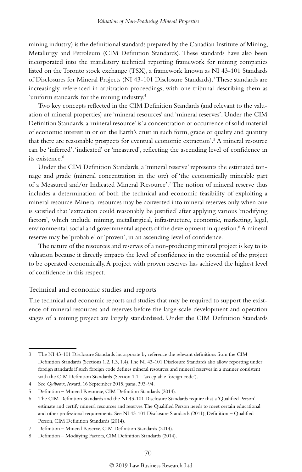mining industry) is the definitional standards prepared by the Canadian Institute of Mining, Metallurgy and Petroleum (CIM Definition Standards). These standards have also been incorporated into the mandatory technical reporting framework for mining companies listed on the Toronto stock exchange (TSX), a framework known as NI 43-101 Standards of Disclosures for Mineral Projects (NI 43-101 Disclosure Standards).<sup>3</sup> These standards are increasingly referenced in arbitration proceedings, with one tribunal describing them as 'uniform standards' for the mining industry.4

Two key concepts reflected in the CIM Definition Standards (and relevant to the valuation of mineral properties) are 'mineral resources' and 'mineral reserves'. Under the CIM Definition Standards, a 'mineral resource' is 'a concentration or occurrence of solid material of economic interest in or on the Earth's crust in such form, grade or quality and quantity that there are reasonable prospects for eventual economic extraction'.<sup>5</sup> A mineral resource can be 'inferred', 'indicated' or 'measured', reflecting the ascending level of confidence in its existence.<sup>6</sup>

Under the CIM Definition Standards, a 'mineral reserve' represents the estimated tonnage and grade (mineral concentration in the ore) of 'the economically mineable part of a Measured and/or Indicated Mineral Resource'.7 The notion of mineral reserve thus includes a determination of both the technical and economic feasibility of exploiting a mineral resource. Mineral resources may be converted into mineral reserves only when one is satisfied that 'extraction could reasonably be justified' after applying various 'modifying factors', which include mining, metallurgical, infrastructure, economic, marketing, legal, environmental, social and governmental aspects of the development in question.<sup>8</sup> A mineral reserve may be 'probable' or 'proven', in an ascending level of confidence.

The nature of the resources and reserves of a non-producing mineral project is key to its valuation because it directly impacts the level of confidence in the potential of the project to be operated economically. A project with proven reserves has achieved the highest level of confidence in this respect.

#### Technical and economic studies and reports

The technical and economic reports and studies that may be required to support the existence of mineral resources and reserves before the large-scale development and operation stages of a mining project are largely standardised. Under the CIM Definition Standards

<sup>3</sup> The NI 43-101 Disclosure Standards incorporate by reference the relevant definitions from the CIM Definition Standards (Sections 1.2, 1.3, 1.4). The NI 43-101 Disclosure Standards also allow reporting under foreign standards if such foreign code defines mineral resources and mineral reserves in a manner consistent with the CIM Definition Standards (Section 1.1 – 'acceptable foreign code').

<sup>4</sup> See *Quiborax*, Award, 16 September 2015, paras. 393–94.

<sup>5</sup> Definition – Mineral Resource, CIM Definition Standards (2014).

<sup>6</sup> The CIM Definition Standards and the NI 43-101 Disclosure Standards require that a 'Qualified Person' estimate and certify mineral resources and reserves. The Qualified Person needs to meet certain educational and other professional requirements. See NI 43-101 Disclosure Standards (2011); Definition – Qualified Person, CIM Definition Standards (2014).

<sup>7</sup> Definition – Mineral Reserve, CIM Definition Standards (2014).

<sup>8</sup> Definition – Modifying Factors, CIM Definition Standards (2014).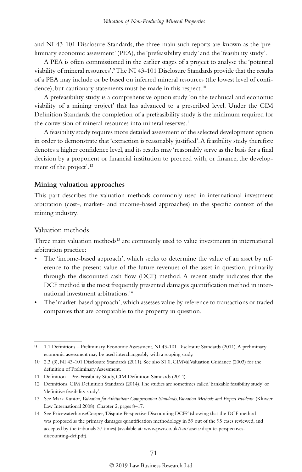and NI 43-101 Disclosure Standards, the three main such reports are known as the 'preliminary economic assessment' (PEA), the 'prefeasibility study' and the 'feasibility study'.

A PEA is often commissioned in the earlier stages of a project to analyse the 'potential viability of mineral resources'.9 The NI 43-101 Disclosure Standards provide that the results of a PEA may include or be based on inferred mineral resources (the lowest level of confidence), but cautionary statements must be made in this respect.<sup>10</sup>

A prefeasibility study is a comprehensive option study 'on the technical and economic viability of a mining project' that has advanced to a prescribed level. Under the CIM Definition Standards, the completion of a prefeasibility study is the minimum required for the conversion of mineral resources into mineral reserves.<sup>11</sup>

A feasibility study requires more detailed assessment of the selected development option in order to demonstrate that 'extraction is reasonably justified'. A feasibility study therefore denotes a higher confidence level, and its results may 'reasonably serve as the basis for a final decision by a proponent or financial institution to proceed with, or finance, the development of the project'.12

#### **Mining valuation approaches**

This part describes the valuation methods commonly used in international investment arbitration (cost-, market- and income-based approaches) in the specific context of the mining industry.

#### Valuation methods

Three main valuation methods<sup>13</sup> are commonly used to value investments in international arbitration practice:

- The 'income-based approach', which seeks to determine the value of an asset by reference to the present value of the future revenues of the asset in question, primarily through the discounted cash flow (DCF) method. A recent study indicates that the DCF method is the most frequently presented damages quantification method in international investment arbitrations.14
- The 'market-based approach', which assesses value by reference to transactions or traded companies that are comparable to the property in question.

<sup>9</sup> 1.1 Definitions – Preliminary Economic Assessment, NI 43-101 Disclosure Standards (2011). A preliminary economic assessment may be used interchangeably with a scoping study.

<sup>10</sup> 2.3 (3), NI 43-101 Disclosure Standards (2011). See also S1.0, CIMVal Valuation Guidance (2003) for the definition of Preliminary Assessment.

<sup>11</sup> Definition – Pre-Feasibility Study, CIM Definition Standards (2014).

<sup>12</sup> Definitions, CIM Definition Standards (2014). The studies are sometimes called 'bankable feasibility study' or 'definitive feasibility study'.

<sup>13</sup> See Mark Kantor, *Valuation for Arbitration: Compensation Standards, Valuation Methods and Expert Evidence* (Kluwer Law International 2008), Chapter 2, pages 8–17.

<sup>14</sup> See PricewaterhouseCooper, 'Dispute Perspective Discounting DCF?' (showing that the DCF method was proposed as the primary damages quantification methodology in 59 out of the 95 cases reviewed, and accepted by the tribunals 37 times) (available at: www.pwc.co.uk/tax/assets/dispute-perspectivesdiscounting-dcf.pdf).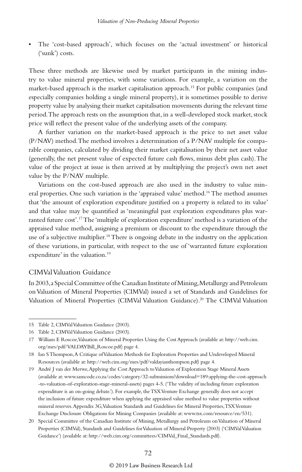• The 'cost-based approach', which focuses on the 'actual investment' or historical ('sunk') costs.

These three methods are likewise used by market participants in the mining industry to value mineral properties, with some variations. For example, a variation on the market-based approach is the market capitalisation approach.15 For public companies (and especially companies holding a single mineral property), it is sometimes possible to derive property value by analysing their market capitalisation movements during the relevant time period. The approach rests on the assumption that, in a well-developed stock market, stock price will reflect the present value of the underlying assets of the company.

A further variation on the market-based approach is the price to net asset value (P/NAV) method. The method involves a determination of a P/NAV multiple for comparable companies, calculated by dividing their market capitalisation by their net asset value (generally, the net present value of expected future cash flows, minus debt plus cash). The value of the project at issue is then arrived at by multiplying the project's own net asset value by the P/NAV multiple.

Variations on the cost-based approach are also used in the industry to value mineral properties. One such variation is the 'appraised value' method.16 The method assumes that 'the amount of exploration expenditure justified on a property is related to its value' and that value may be quantified as 'meaningful past exploration expenditures plus warranted future cost'.17 The 'multiple of exploration expenditure' method is a variation of the appraised value method, assigning a premium or discount to the expenditure through the use of a subjective multiplier.<sup>18</sup> There is ongoing debate in the industry on the application of these variations, in particular, with respect to the use of 'warranted future exploration expenditure' in the valuation.<sup>19</sup>

#### CIMVal Valuation Guidance

In 2003, a Special Committee of the Canadian Institute of Mining, Metallurgy and Petroleum on Valuation of Mineral Properties (CIMVal) issued a set of Standards and Guidelines for Valuation of Mineral Properties (CIMVal Valuation Guidance).20 The CIMVal Valuation

#### © 2019 Law Business Research Ltd

<sup>15</sup> Table 2, CIMVal Valuation Guidance (2003).

<sup>16</sup> Table 2, CIMVal Valuation Guidance (2003).

<sup>17</sup> William E Roscoe, Valuation of Mineral Properties Using the Cost Approach (available at: http://web.cim. org/mes/pdf/VALDAYBill\_Roscoe.pdf) page 4.

<sup>18</sup> Ian S Thompson, A Critique of Valuation Methods for Exploration Properties and Undeveloped Mineral Resources (available at: http://web.cim.org/mes/pdf/valdayianthompson.pdf) page 4.

<sup>19</sup> André J van der Merwe, Applying the Cost Approach to Valuation of Exploration Stage Mineral Assets (available at: www.samcode.co.za/codes/category/32-submissions?download=189:applying-the-cost-approach -to-valuation-of-exploration-stage-mineral-assets) pages 4-5. ('The validity of including future exploration expenditure is an on-going debate.'). For example, the TSX Venture Exchange generally does not accept the inclusion of future expenditure when applying the appraised value method to value properties without mineral reserves. Appendix 3G, Valuation Standards and Guidelines for Mineral Properties, TSX Venture Exchange Disclosure Obligations for Mining Companies (available at: www.tsx.com/resource/en/531).

<sup>20</sup> Special Committee of the Canadian Institute of Mining, Metallurgy and Petroleum on Valuation of Mineral Properties (CIMVal), Standards and Guidelines for Valuation of Mineral Property (2003) ('CIMVal Valuation Guidance') (available at: http://web.cim.org/committees/CIMVal\_Final\_Standards.pdf).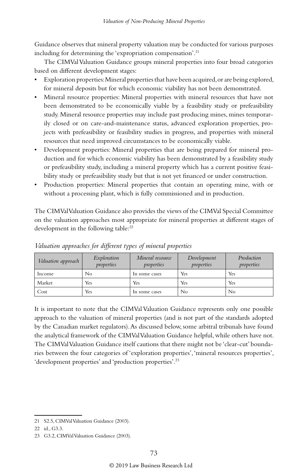Guidance observes that mineral property valuation may be conducted for various purposes including for determining the 'expropriation compensation'.<sup>21</sup>

The CIMVal Valuation Guidance groups mineral properties into four broad categories based on different development stages:

- Exploration properties: Mineral properties that have been acquired, or are being explored, for mineral deposits but for which economic viability has not been demonstrated.
- Mineral resource properties: Mineral properties with mineral resources that have not been demonstrated to be economically viable by a feasibility study or prefeasibility study. Mineral resource properties may include past producing mines, mines temporarily closed or on care-and-maintenance status, advanced exploration properties, projects with prefeasibility or feasibility studies in progress, and properties with mineral resources that need improved circumstances to be economically viable.
- Development properties: Mineral properties that are being prepared for mineral production and for which economic viability has been demonstrated by a feasibility study or prefeasibility study, including a mineral property which has a current positive feasibility study or prefeasibility study but that is not yet financed or under construction.
- Production properties: Mineral properties that contain an operating mine, with or without a processing plant, which is fully commissioned and in production.

The CIMVal Valuation Guidance also provides the views of the CIMVal Special Committee on the valuation approaches most appropriate for mineral properties at different stages of development in the following table:<sup>22</sup>

| Valuation approach | Exploration<br>properties | Mineral resource<br>properties | Development<br>properties | Production<br>properties |
|--------------------|---------------------------|--------------------------------|---------------------------|--------------------------|
| Income             | No                        | In some cases                  | Yes                       | Yes                      |
| Market             | Yes                       | Yes                            | Yes                       | Yes                      |
| Cost               | Yes                       | In some cases                  | No                        | No                       |

*Valuation approaches for different types of mineral properties* 

It is important to note that the CIMVal Valuation Guidance represents only one possible approach to the valuation of mineral properties (and is not part of the standards adopted by the Canadian market regulators). As discussed below, some arbitral tribunals have found the analytical framework of the CIMVal Valuation Guidance helpful, while others have not. The CIMVal Valuation Guidance itself cautions that there might not be 'clear-cut' boundaries between the four categories of 'exploration properties', 'mineral resources properties', 'development properties' and 'production properties'.23

<sup>21</sup> S2.5, CIMVal Valuation Guidance (2003).

<sup>22</sup> id., G3.3.

<sup>23</sup> G3.2, CIMVal Valuation Guidance (2003).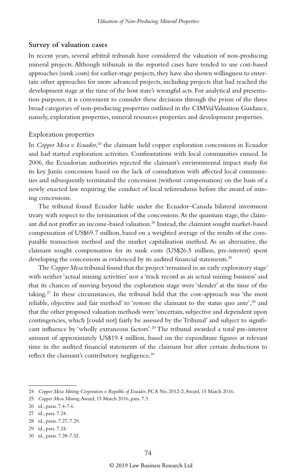#### **Survey of valuation cases**

In recent years, several arbitral tribunals have considered the valuation of non-producing mineral projects. Although tribunals in the reported cases have tended to use cost-based approaches (sunk costs) for earlier-stage projects, they have also shown willingness to entertain other approaches for more advanced projects, including projects that had reached the development stage at the time of the host state's wrongful acts. For analytical and presentation purposes, it is convenient to consider these decisions through the prism of the three broad categories of non-producing properties outlined in the CIMVal Valuation Guidance, namely, exploration properties, mineral resources properties and development properties.

#### Exploration properties

In *Copper Mesa v. Ecuador*, 24 the claimant held copper exploration concessions in Ecuador and had started exploration activities. Confrontations with local communities ensued. In 2006, the Ecuadorian authorities rejected the claimant's environmental impact study for its key Junín concession based on the lack of consultation with affected local communities and subsequently terminated the concession (without compensation) on the basis of a newly enacted law requiring the conduct of local referendums before the award of mining concessions.

The tribunal found Ecuador liable under the Ecuador–Canada bilateral investment treaty with respect to the termination of the concessions. At the quantum stage, the claimant did not proffer an income-based valuation.25 Instead, the claimant sought market-based compensation of US\$69.7 million, based on a weighted average of the results of the comparable transaction method and the market capitalisation method. As an alternative, the claimant sought compensation for its sunk costs (US\$26.5 million, pre-interest) spent developing the concessions as evidenced by its audited financial statements.<sup>26</sup>

The *Copper Mesa* tribunal found that the project 'remained in an early exploratory stage' with neither 'actual mining activities' nor a 'track record as an actual mining business' and that its chances of moving beyond the exploration stage were 'slender' at the time of the taking.27 In these circumstances, the tribunal held that the cost-approach was 'the most reliable, objective and fair method' to 'restore the claimant to the status quo ante',<sup>28</sup> and that the other proposed valuation methods were 'uncertain, subjective and dependent upon contingencies, which [could not] fairly be assessed by the Tribunal' and subject to significant influence by 'wholly extraneous factors'.29 The tribunal awarded a total pre-interest amount of approximately US\$19.4 million, based on the expenditure figures at relevant time in the audited financial statements of the claimant but after certain deductions to reflect the claimant's contributory negligence.<sup>30</sup>

<sup>24</sup> *Copper Mesa Mining Corporation v. Republic of Ecuador*, PCA No. 2012-2, Award, 15 March 2016.

<sup>25</sup> *Copper Mesa Mining*, Award, 15 March 2016, para. 7.3.

<sup>26</sup> id., paras. 7.4-7.6.

<sup>27</sup> id., para. 7.24.

<sup>28</sup> id., paras. 7.27, 7.29.

<sup>29</sup> id., para. 7.24.

<sup>30</sup> id., paras. 7.28-7.32.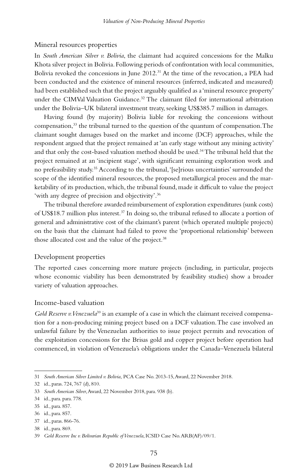#### Mineral resources properties

In *South American Silver v. Bolivia*, the claimant had acquired concessions for the Malku Khota silver project in Bolivia. Following periods of confrontation with local communities, Bolivia revoked the concessions in June  $2012<sup>31</sup>$  At the time of the revocation, a PEA had been conducted and the existence of mineral resources (inferred, indicated and measured) had been established such that the project arguably qualified as a 'mineral resource property' under the CIMVal Valuation Guidance.<sup>32</sup> The claimant filed for international arbitration under the Bolivia–UK bilateral investment treaty, seeking US\$385.7 million in damages.

Having found (by majority) Bolivia liable for revoking the concessions without compensation,<sup>33</sup> the tribunal turned to the question of the quantum of compensation. The claimant sought damages based on the market and income (DCF) approaches, while the respondent argued that the project remained at 'an early stage without any mining activity' and that only the cost-based valuation method should be used.<sup>34</sup> The tribunal held that the project remained at an 'incipient stage', with significant remaining exploration work and no prefeasibility study.<sup>35</sup> According to the tribunal, '[se]rious uncertainties' surrounded the scope of the identified mineral resources, the proposed metallurgical process and the marketability of its production, which, the tribunal found, made it difficult to value the project 'with any degree of precision and objectivity'.36

The tribunal therefore awarded reimbursement of exploration expenditures (sunk costs) of US\$18.7 million plus interest.37 In doing so, the tribunal refused to allocate a portion of general and administrative cost of the claimant's parent (which operated multiple projects) on the basis that the claimant had failed to prove the 'proportional relationship' between those allocated cost and the value of the project.<sup>38</sup>

#### Development properties

The reported cases concerning more mature projects (including, in particular, projects whose economic viability has been demonstrated by feasibility studies) show a broader variety of valuation approaches.

#### Income-based valuation

*Gold Reserve v. Venezuela*<sup>39</sup> is an example of a case in which the claimant received compensation for a non-producing mining project based on a DCF valuation. The case involved an unlawful failure by the Venezuelan authorities to issue project permits and revocation of the exploitation concessions for the Brisas gold and copper project before operation had commenced, in violation of Venezuela's obligations under the Canada–Venezuela bilateral

<sup>31</sup> *South American Silver Limited v. Bolivia*, PCA Case No. 2013-15, Award, 22 November 2018.

<sup>32</sup> id., paras. 724, 767 (d), 810.

<sup>33</sup> *South American Silver*, Award, 22 November 2018, para. 938 (b).

<sup>34</sup> id., para. para. 778.

<sup>35</sup> id., para. 857.

<sup>36</sup> id., para. 857.

<sup>37</sup> id., paras. 866-76.

<sup>38</sup> id., para. 869.

<sup>39</sup> *Gold Reserve Inc v. Bolivarian Republic of Venezuela*, ICSID Case No. ARB(AF)/09/1.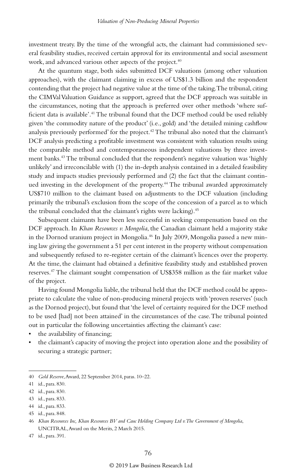investment treaty. By the time of the wrongful acts, the claimant had commissioned several feasibility studies, received certain approval for its environmental and social assessment work, and advanced various other aspects of the project.<sup>40</sup>

At the quantum stage, both sides submitted DCF valuations (among other valuation approaches), with the claimant claiming in excess of US\$1.3 billion and the respondent contending that the project had negative value at the time of the taking. The tribunal, citing the CIMVal Valuation Guidance as support, agreed that the DCF approach was suitable in the circumstances, noting that the approach is preferred over other methods 'where sufficient data is available'.41 The tribunal found that the DCF method could be used reliably given 'the commodity nature of the product' (i.e., gold) and 'the detailed mining cashflow analysis previously performed' for the project.<sup>42</sup> The tribunal also noted that the claimant's DCF analysis predicting a profitable investment was consistent with valuation results using the comparable method and contemporaneous independent valuations by three investment banks.<sup>43</sup> The tribunal concluded that the respondent's negative valuation was 'highly unlikely' and irreconcilable with (1) the in-depth analysis contained in a detailed feasibility study and impacts studies previously performed and (2) the fact that the claimant continued investing in the development of the property.<sup>44</sup> The tribunal awarded approximately US\$710 million to the claimant based on adjustments to the DCF valuation (including primarily the tribunal's exclusion from the scope of the concession of a parcel as to which the tribunal concluded that the claimant's rights were lacking).<sup>45</sup>

Subsequent claimants have been less successful in seeking compensation based on the DCF approach. In *Khan Resources v. Mongolia*, the Canadian claimant held a majority stake in the Dornod uranium project in Mongolia.<sup>46</sup> In July 2009, Mongolia passed a new mining law giving the government a 51 per cent interest in the property without compensation and subsequently refused to re-register certain of the claimant's licences over the property. At the time, the claimant had obtained a definitive feasibility study and established proven reserves.47 The claimant sought compensation of US\$358 million as the fair market value of the project.

Having found Mongolia liable, the tribunal held that the DCF method could be appropriate to calculate the value of non-producing mineral projects with 'proven reserves' (such as the Dornod project), but found that 'the level of certainty required for the DCF method to be used [had] not been attained' in the circumstances of the case. The tribunal pointed out in particular the following uncertainties affecting the claimant's case:

- the availability of financing;
- the claimant's capacity of moving the project into operation alone and the possibility of securing a strategic partner;

<sup>40</sup> *Gold Reserve*, Award, 22 September 2014, paras. 10–22.

<sup>41</sup> id., para. 830.

<sup>42</sup> id., para. 830.

<sup>43</sup> id., para. 833.

<sup>44</sup> id., para. 833.

<sup>45</sup> id., para. 848.

<sup>46</sup> *Khan Resources Inc, Khan Resources BV and Cauc Holding Company Ltd v. The Government of Mongolia*, UNCITRAL, Award on the Merits, 2 March 2015.

<sup>47</sup> id., para. 391.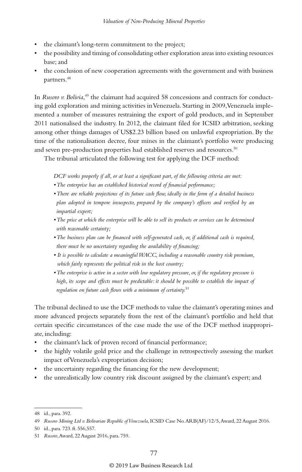- the claimant's long-term commitment to the project;
- the possibility and timing of consolidating other exploration areas into existing resources base; and
- the conclusion of new cooperation agreements with the government and with business partners.<sup>48</sup>

In *Rusoro v. Bolivia*, 49 the claimant had acquired 58 concessions and contracts for conducting gold exploration and mining activities in Venezuela. Starting in 2009, Venezuela implemented a number of measures restraining the export of gold products, and in September 2011 nationalised the industry. In 2012, the claimant filed for ICSID arbitration, seeking among other things damages of US\$2.23 billion based on unlawful expropriation. By the time of the nationalisation decree, four mines in the claimant's portfolio were producing and seven pre-production properties had established reserves and resources.<sup>50</sup>

The tribunal articulated the following test for applying the DCF method:

*DCF works properly if all, or at least a significant part, of the following criteria are met:*

- *The enterprise has an established historical record of financial performance;*
- *There are reliable projections of its future cash flow, ideally in the form of a detailed business plan adopted in tempore insuspecto, prepared by the company's officers and verified by an impartial expert;*
- *The price at which the enterprise will be able to sell its products or services can be determined with reasonable certainty;*
- *The business plan can be financed with self-generated cash, or, if additional cash is required, there must be no uncertainty regarding the availability of financing;*
- *It is possible to calculate a meaningful WACC, including a reasonable country risk premium, which fairly represents the political risk in the host country;*
- *The enterprise is active in a sector with low regulatory pressure, or, if the regulatory pressure is*  high, its scope and effects must be predictable: it should be possible to establish the impact of *regulation on future cash flows with a minimum of certainty.*<sup>51</sup>

The tribunal declined to use the DCF methods to value the claimant's operating mines and more advanced projects separately from the rest of the claimant's portfolio and held that certain specific circumstances of the case made the use of the DCF method inappropriate, including:

- the claimant's lack of proven record of financial performance;
- the highly volatile gold price and the challenge in retrospectively assessing the market impact of Venezuela's expropriation decision;
- the uncertainty regarding the financing for the new development;
- the unrealistically low country risk discount assigned by the claimant's expert; and

<sup>48</sup> id., para. 392.

<sup>49</sup> *Rusoro Mining Ltd v. Bolivarian Republic of Venezuela*, ICSID Case No. ARB(AF)/12/5, Award, 22 August 2016.

<sup>50</sup> id., para. 723. ft. 556,557.

<sup>51</sup> *Rusoro*, Award, 22 August 2016, para. 759.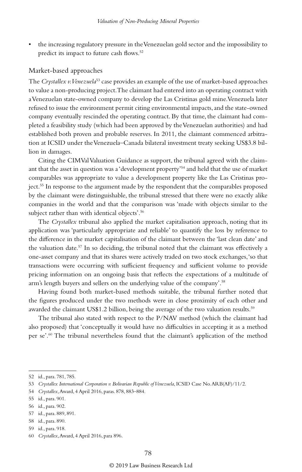• the increasing regulatory pressure in the Venezuelan gold sector and the impossibility to predict its impact to future cash flows.<sup>52</sup>

#### Market-based approaches

The *Crystallex v. Venezuela*<sup>53</sup> case provides an example of the use of market-based approaches to value a non-producing project. The claimant had entered into an operating contract with a Venezuelan state-owned company to develop the Las Cristinas gold mine. Venezuela later refused to issue the environment permit citing environmental impacts, and the state-owned company eventually rescinded the operating contract. By that time, the claimant had completed a feasibility study (which had been approved by the Venezuelan authorities) and had established both proven and probable reserves. In 2011, the claimant commenced arbitration at ICSID under the Venezuela–Canada bilateral investment treaty seeking US\$3.8 billion in damages.

Citing the CIMVal Valuation Guidance as support, the tribunal agreed with the claimant that the asset in question was a 'development property'54 and held that the use of market comparables was appropriate to value a development property like the Las Cristinas project.55 In response to the argument made by the respondent that the comparables proposed by the claimant were distinguishable, the tribunal stressed that there were no exactly alike companies in the world and that the comparison was 'made with objects similar to the subject rather than with identical objects'.56

The *Crystallex* tribunal also applied the market capitalisation approach, noting that its application was 'particularly appropriate and reliable' to quantify the loss by reference to the difference in the market capitalisation of the claimant between the 'last clean date' and the valuation date.57 In so deciding, the tribunal noted that the claimant was effectively a one-asset company and that its shares were actively traded on two stock exchanges, 'so that transactions were occurring with sufficient frequency and sufficient volume to provide pricing information on an ongoing basis that reflects the expectations of a multitude of arm's length buyers and sellers on the underlying value of the company'.58

Having found both market-based methods suitable, the tribunal further noted that the figures produced under the two methods were in close proximity of each other and awarded the claimant US\$1.2 billion, being the average of the two valuation results.<sup>59</sup>

The tribunal also stated with respect to the P/NAV method (which the claimant had also proposed) that 'conceptually it would have no difficulties in accepting it as a method per se'.60 The tribunal nevertheless found that the claimant's application of the method

<sup>52</sup> id., para. 781, 785.

<sup>53</sup> *Crystallex International Corporation v. Bolivarian Republic of Venezuela*, ICSID Case No. ARB(AF)/11/2.

<sup>54</sup> *Crystallex*, Award, 4 April 2016, paras. 878, 883–884.

<sup>55</sup> id., para. 901.

<sup>56</sup> id., para. 902.

<sup>57</sup> id., para. 889, 891.

<sup>58</sup> id., para. 890.

<sup>59</sup> id., para. 918.

<sup>60</sup> *Crystallex*, Award, 4 April 2016, para 896.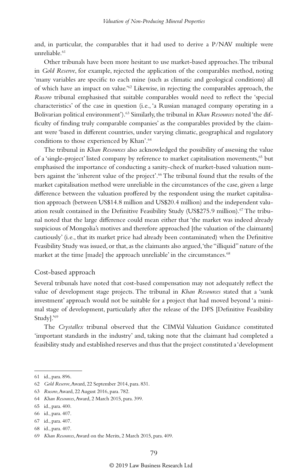and, in particular, the comparables that it had used to derive a P/NAV multiple were  $unreli<sub>2</sub>hle<sup>61</sup>$ 

Other tribunals have been more hesitant to use market-based approaches. The tribunal in *Gold Reserve*, for example, rejected the application of the comparables method, noting 'many variables are specific to each mine (such as climatic and geological conditions) all of which have an impact on value.'62 Likewise, in rejecting the comparables approach, the *Rusoro* tribunal emphasised that suitable comparables would need to reflect the 'special characteristics' of the case in question (i.e., 'a Russian managed company operating in a Bolivarian political environment').<sup>63</sup> Similarly, the tribunal in *Khan Resources* noted 'the difficulty of finding truly comparable companies' as the comparables provided by the claimant were 'based in different countries, under varying climatic, geographical and regulatory conditions to those experienced by Khan'.<sup>64</sup>

The tribunal in *Khan Resources* also acknowledged the possibility of assessing the value of a 'single-project' listed company by reference to market capitalisation movements,<sup>65</sup> but emphasised the importance of conducting a sanity-check of market-based valuation numbers against the 'inherent value of the project'.<sup>66</sup> The tribunal found that the results of the market capitalisation method were unreliable in the circumstances of the case, given a large difference between the valuation proffered by the respondent using the market capitalisation approach (between US\$14.8 million and US\$20.4 million) and the independent valuation result contained in the Definitive Feasibility Study (US\$275.9 million).<sup>67</sup> The tribunal noted that the large difference could mean either that 'the market was indeed already suspicious of Mongolia's motives and therefore approached [the valuation of the claimants] cautiously' (i.e., that its market price had already been contaminated) when the Definitive Feasibility Study was issued, or that, as the claimants also argued, 'the "illiquid" nature of the market at the time [made] the approach unreliable' in the circumstances.<sup>68</sup>

#### Cost-based approach

Several tribunals have noted that cost-based compensation may not adequately reflect the value of development stage projects. The tribunal in *Khan Resources* stated that a 'sunk investment' approach would not be suitable for a project that had moved beyond 'a minimal stage of development, particularly after the release of the DFS [Definitive Feasibility Study].'69

The *Crystallex* tribunal observed that the CIMVal Valuation Guidance constituted 'important standards in the industry' and, taking note that the claimant had completed a feasibility study and established reserves and thus that the project constituted a 'development

<sup>61</sup> id., para. 896.

<sup>62</sup> *Gold Reserve*, Award, 22 September 2014, para. 831.

<sup>63</sup> *Rusoro*, Award, 22 August 2016, para. 782.

<sup>64</sup> *Khan Resources*, Award, 2 March 2015, para. 399.

<sup>65</sup> id., para. 400.

<sup>66</sup> id., para. 407.

<sup>67</sup> id., para. 407.

<sup>68</sup> id., para. 407.

<sup>69</sup> *Khan Resources*, Award on the Merits, 2 March 2015, para. 409.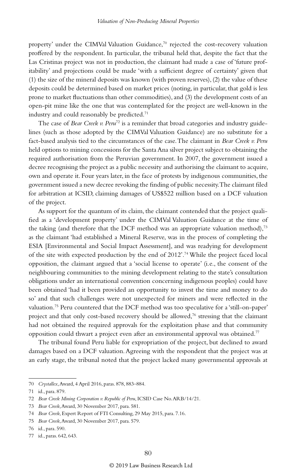property' under the CIMVal Valuation Guidance,70 rejected the cost-recovery valuation proffered by the respondent. In particular, the tribunal held that, despite the fact that the Las Cristinas project was not in production, the claimant had made a case of 'future profitability' and projections could be made 'with a sufficient degree of certainty' given that (1) the size of the mineral deposits was known (with proven reserves), (2) the value of these deposits could be determined based on market prices (noting, in particular, that gold is less prone to market fluctuations than other commodities), and (3) the development costs of an open-pit mine like the one that was contemplated for the project are well-known in the industry and could reasonably be predicted.<sup>71</sup>

The case of *Bear Creek v. Peru*<sup>72</sup> is a reminder that broad categories and industry guidelines (such as those adopted by the CIMVal Valuation Guidance) are no substitute for a fact-based analysis tied to the circumstances of the case. The claimant in *Bear Creek v. Peru*  held options to mining concessions for the Santa Ana silver project subject to obtaining the required authorisation from the Peruvian government. In 2007, the government issued a decree recognising the project as a public necessity and authorising the claimant to acquire, own and operate it. Four years later, in the face of protests by indigenous communities, the government issued a new decree revoking the finding of public necessity. The claimant filed for arbitration at ICSID, claiming damages of US\$522 million based on a DCF valuation of the project.

As support for the quantum of its claim, the claimant contended that the project qualified as a 'development property' under the CIMVal Valuation Guidance at the time of the taking (and therefore that the DCF method was an appropriate valuation method),<sup>73</sup> as the claimant 'had established a Mineral Reserve, was in the process of completing the ESIA [Environmental and Social Impact Assessment], and was readying for development of the site with expected production by the end of  $2012$ .<sup>74</sup> While the project faced local opposition, the claimant argued that a 'social license to operate' (i.e., the consent of the neighbouring communities to the mining development relating to the state's consultation obligations under an international convention concerning indigenous peoples) could have been obtained 'had it been provided an opportunity to invest the time and money to do so' and that such challenges were not unexpected for miners and were reflected in the valuation.75 Peru countered that the DCF method was too speculative for a 'still-on-paper' project and that only cost-based recovery should be allowed,<sup>76</sup> stressing that the claimant had not obtained the required approvals for the exploitation phase and that community opposition could thwart a project even after an environmental approval was obtained.77

The tribunal found Peru liable for expropriation of the project, but declined to award damages based on a DCF valuation. Agreeing with the respondent that the project was at an early stage, the tribunal noted that the project lacked many governmental approvals at

<sup>70</sup> *Crystallex*, Award, 4 April 2016, paras. 878, 883–884.

<sup>71</sup> id., para. 879.

<sup>72</sup> *Bear Creek Mining Corporation v. Republic of Peru*, ICSID Case No. ARB/14/21.

<sup>73</sup> *Bear Creek*, Award, 30 November 2017, para. 581.

<sup>74</sup> *Bear Creek*, Expert Report of FTI Consulting, 29 May 2015, para. 7.16.

<sup>75</sup> *Bear Creek*, Award, 30 November 2017, para. 579.

<sup>76</sup> id., para. 590.

<sup>77</sup> id., paras. 642, 643.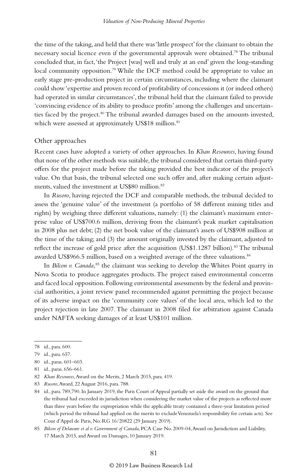the time of the taking, and held that there was 'little prospect' for the claimant to obtain the necessary social licence even if the governmental approvals were obtained.78 The tribunal concluded that, in fact, 'the Project [was] well and truly at an end' given the long-standing local community opposition.<sup>79</sup> While the DCF method could be appropriate to value an early stage pre-production project in certain circumstances, including where the claimant could show 'expertise and proven record of profitability of concessions it (or indeed others) had operated in similar circumstances', the tribunal held that the claimant failed to provide 'convincing evidence of its ability to produce profits' among the challenges and uncertainties faced by the project.<sup>80</sup> The tribunal awarded damages based on the amounts invested, which were assessed at approximately US\$18 million.<sup>81</sup>

#### Other approaches

Recent cases have adopted a variety of other approaches. In *Khan Resources*, having found that none of the other methods was suitable, the tribunal considered that certain third-party offers for the project made before the taking provided the best indicator of the project's value. On that basis, the tribunal selected one such offer and, after making certain adjustments, valued the investment at US\$80 million.<sup>82</sup>

In *Rusoro*, having rejected the DCF and comparable methods, the tribunal decided to assess the 'genuine value' of the investment (a portfolio of 58 different mining titles and rights) by weighing three different valuations, namely: (1) the claimant's maximum enterprise value of US\$700.6 million, deriving from the claimant's peak market capitalisation in 2008 plus net debt; (2) the net book value of the claimant's assets of US\$908 million at the time of the taking; and (3) the amount originally invested by the claimant, adjusted to reflect the increase of gold price after the acquisition (US\$1.1287 billion).<sup>83</sup> The tribunal awarded US\$966.5 million, based on a weighted average of the three valuations.<sup>84</sup>

In *Bilcon v. Canada*,<sup>85</sup> the claimant was seeking to develop the Whites Point quarry in Nova Scotia to produce aggregates products. The project raised environmental concerns and faced local opposition. Following environmental assessments by the federal and provincial authorities, a joint review panel recommended against permitting the project because of its adverse impact on the 'community core values' of the local area, which led to the project rejection in late 2007. The claimant in 2008 filed for arbitration against Canada under NAFTA seeking damages of at least US\$101 million.

83 *Rusoro*, Award, 22 August 2016, para. 788.

<sup>78</sup> id., para. 600.

<sup>79</sup> id., para. 657.

<sup>80</sup> id., paras. 601–603.

<sup>81</sup> id., paras. 656–661.

<sup>82</sup> *Khan Resources*, Award on the Merits, 2 March 2015, para. 419.

<sup>84</sup> id., para. 789,790. In January 2019, the Paris Court of Appeal partially set aside the award on the ground that the tribunal had exceeded its jurisdiction when considering the market value of the projects as reflected more than three years before the expropriation while the applicable treaty contained a three-year limitation period (which period the tribunal had applied on the merits to exclude Venezuela's responsibility for certain acts). See Cour d'Appel de Paris, No. RG 16/20822 (29 January 2019).

<sup>85</sup> *Bilcon of Delaware et al v. Government of Canada*, PCA Case No. 2009-04, Award on Jurisdiction and Liability, 17 March 2015, and Award on Damages, 10 January 2019.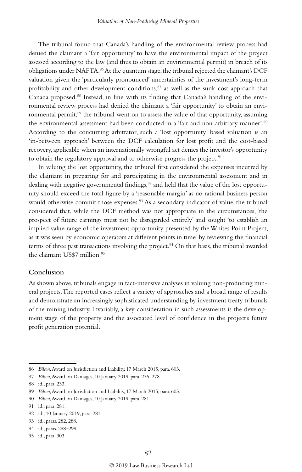The tribunal found that Canada's handling of the environmental review process had denied the claimant a 'fair opportunity' to have the environmental impact of the project assessed according to the law (and thus to obtain an environmental permit) in breach of its obligations under NAFTA.<sup>86</sup> At the quantum stage, the tribunal rejected the claimant's DCF valuation given the 'particularly pronounced' uncertainties of the investment's long-term profitability and other development conditions, $87$  as well as the sunk cost approach that Canada proposed.88 Instead, in line with its finding that Canada's handling of the environmental review process had denied the claimant a 'fair opportunity' to obtain an environmental permit,<sup>89</sup> the tribunal went on to assess the value of that opportunity, assuming the environmental assessment had been conducted in a 'fair and non-arbitrary manner'.90 According to the concurring arbitrator, such a 'lost opportunity' based valuation is an 'in-between approach' between the DCF calculation for lost profit and the cost-based recovery, applicable when an internationally wrongful act denies the investor's opportunity to obtain the regulatory approval and to otherwise progress the project.<sup>91</sup>

In valuing the lost opportunity, the tribunal first considered the expenses incurred by the claimant in preparing for and participating in the environmental assessment and in dealing with negative governmental findings,<sup>92</sup> and held that the value of the lost opportunity should exceed the total figure by a 'reasonable margin' as no rational business person would otherwise commit those expenses.<sup>93</sup> As a secondary indicator of value, the tribunal considered that, while the DCF method was not appropriate in the circumstances, 'the prospect of future earnings must not be disregarded entirely' and sought 'to establish an implied value range of the investment opportunity presented by the Whites Point Project, as it was seen by economic operators at different points in time' by reviewing the financial terms of three past transactions involving the project.<sup>94</sup> On that basis, the tribunal awarded the claimant US\$7 million.<sup>95</sup>

#### **Conclusion**

As shown above, tribunals engage in fact-intensive analyses in valuing non-producing mineral projects. The reported cases reflect a variety of approaches and a broad range of results and demonstrate an increasingly sophisticated understanding by investment treaty tribunals of the mining industry. Invariably, a key consideration in such assessments is the development stage of the property and the associated level of confidence in the project's future profit generation potential.

<sup>86</sup> *Bilcon*, Award on Jurisdiction and Liability, 17 March 2015, para. 603.

<sup>87</sup> *Bilcon*, Award on Damages, 10 January 2019, para. 276–278.

<sup>88</sup> id., para. 233.

<sup>89</sup> *Bilcon*, Award on Jurisdiction and Liability, 17 March 2015, para. 603.

<sup>90</sup> *Bilcon*, Award on Damages, 10 January 2019, para. 281.

<sup>91</sup> id., para. 281.

<sup>92</sup> id., 10 January 2019, para. 281.

<sup>93</sup> id., paras. 282, 288.

<sup>94</sup> id., paras. 288–299.

<sup>95</sup> id., para. 303.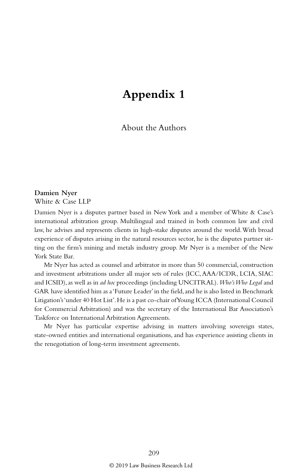## **Appendix 1**

About the Authors

**Damien Nyer** White & Case LLP

Damien Nyer is a disputes partner based in New York and a member of White & Case's international arbitration group. Multilingual and trained in both common law and civil law, he advises and represents clients in high-stake disputes around the world. With broad experience of disputes arising in the natural resources sector, he is the disputes partner sitting on the firm's mining and metals industry group. Mr Nyer is a member of the New York State Bar.

Mr Nyer has acted as counsel and arbitrator in more than 50 commercial, construction and investment arbitrations under all major sets of rules (ICC, AAA/ICDR, LCIA, SIAC and ICSID), as well as in *ad hoc* proceedings (including UNCITRAL). *Who's Who Legal* and GAR have identified him as a 'Future Leader' in the field, and he is also listed in Benchmark Litigation's 'under 40 Hot List'. He is a past co-chair of Young ICCA (International Council for Commercial Arbitration) and was the secretary of the International Bar Association's Taskforce on International Arbitration Agreements.

Mr Nyer has particular expertise advising in matters involving sovereign states, state-owned entities and international organisations, and has experience assisting clients in the renegotiation of long-term investment agreements.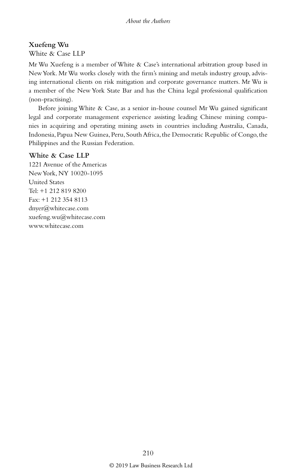## **Xuefeng Wu**

White & Case LLP

Mr Wu Xuefeng is a member of White & Case's international arbitration group based in New York. Mr Wu works closely with the firm's mining and metals industry group, advising international clients on risk mitigation and corporate governance matters. Mr Wu is a member of the New York State Bar and has the China legal professional qualification (non-practising).

Before joining White & Case, as a senior in-house counsel Mr Wu gained significant legal and corporate management experience assisting leading Chinese mining companies in acquiring and operating mining assets in countries including Australia, Canada, Indonesia, Papua New Guinea, Peru, South Africa, the Democratic Republic of Congo, the Philippines and the Russian Federation.

#### **White & Case LLP**

1221 Avenue of the Americas New York, NY 10020-1095 United States Tel: +1 212 819 8200 Fax: +1 212 354 8113 dnyer@whitecase.com xuefeng.wu@whitecase.com www.whitecase.com